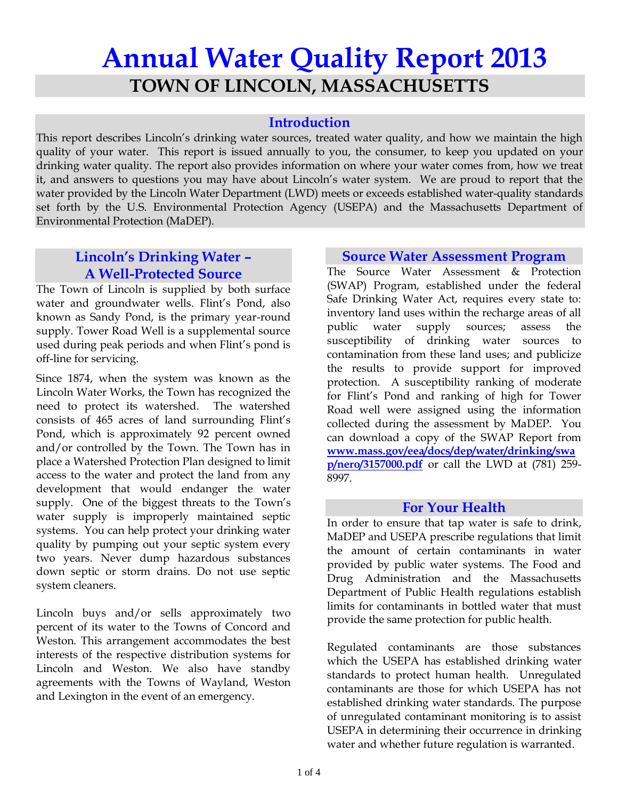# **Annual Water Quality Report 2013 TOWN OF LINCOLN, MASSACHUSETTS**

## **Introduction**

This report describes Lincoln's drinking water sources, treated water quality, and how we maintain the high quality of your water. This report is issued annually to you, the consumer, to keep you updated on your drinking water quality. The report also provides information on where your water comes from, how we treat it, and answers to questions you may have about Lincoln's water system. We are proud to report that the water provided by the Lincoln Water Department (LWD) meets or exceeds established water-quality standards set forth by the U.S. Environmental Protection Agency (USEPA) and the Massachusetts Department of Environmental Protection (MaDEP).

# **Lincoln's Drinking Water – A Well-Protected Source**

The Town of Lincoln is supplied by both surface water and groundwater wells. Flint's Pond, also known as Sandy Pond, is the primary year-round supply. Tower Road Well is a supplemental source used during peak periods and when Flint's pond is off-line for servicing.

Since 1874, when the system was known as the Lincoln Water Works, the Town has recognized the need to protect its watershed. The watershed consists of 465 acres of land surrounding Flint's Pond, which is approximately 92 percent owned and/or controlled by the Town. The Town has in place a Watershed Protection Plan designed to limit access to the water and protect the land from any development that would endanger the water supply. One of the biggest threats to the Town's water supply is improperly maintained septic systems. You can help protect your drinking water quality by pumping out your septic system every two years. Never dump hazardous substances down septic or storm drains. Do not use septic system cleaners.

Lincoln buys and/or sells approximately two percent of its water to the Towns of Concord and Weston. This arrangement accommodates the best interests of the respective distribution systems for Lincoln and Weston. We also have standby agreements with the Towns of Wayland, Weston and Lexington in the event of an emergency.

#### **Source Water Assessment Program**

The Source Water Assessment & Protection (SWAP) Program, established under the federal Safe Drinking Water Act, requires every state to: inventory land uses within the recharge areas of all public water supply sources; assess the susceptibility of drinking water sources to contamination from these land uses; and publicize the results to provide support for improved protection. A susceptibility ranking of moderate for Flint's Pond and ranking of high for Tower Road well were assigned using the information collected during the assessment by MaDEP. You can download a copy of the SWAP Report from **www.mass.gov/eea/docs/dep/water/drinking/swa p/nero/3157000.pdf** or call the LWD at (781) 259- 8997.

## **For Your Health**

In order to ensure that tap water is safe to drink, MaDEP and USEPA prescribe regulations that limit the amount of certain contaminants in water provided by public water systems. The Food and Drug Administration and the Massachusetts Department of Public Health regulations establish limits for contaminants in bottled water that must provide the same protection for public health.

Regulated contaminants are those substances which the USEPA has established drinking water standards to protect human health. Unregulated contaminants are those for which USEPA has not established drinking water standards. The purpose of unregulated contaminant monitoring is to assist USEPA in determining their occurrence in drinking water and whether future regulation is warranted.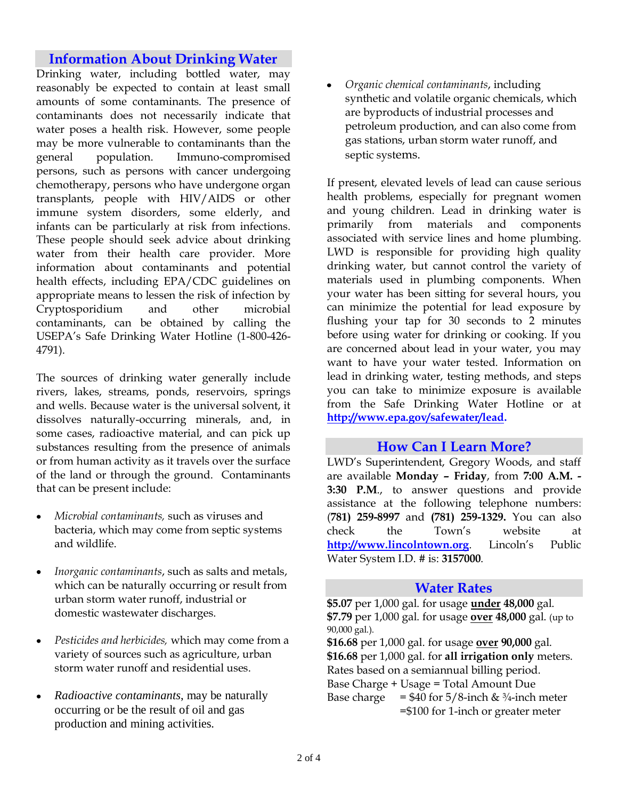# **Information About Drinking Water**

Drinking water, including bottled water, may reasonably be expected to contain at least small amounts of some contaminants. The presence of contaminants does not necessarily indicate that water poses a health risk. However, some people may be more vulnerable to contaminants than the general population. Immuno-compromised persons, such as persons with cancer undergoing chemotherapy, persons who have undergone organ transplants, people with HIV/AIDS or other immune system disorders, some elderly, and infants can be particularly at risk from infections. These people should seek advice about drinking water from their health care provider. More information about contaminants and potential health effects, including EPA/CDC guidelines on appropriate means to lessen the risk of infection by Cryptosporidium and other microbial contaminants, can be obtained by calling the USEPA's Safe Drinking Water Hotline (1-800-426- 4791).

The sources of drinking water generally include rivers, lakes, streams, ponds, reservoirs, springs and wells. Because water is the universal solvent, it dissolves naturally-occurring minerals, and, in some cases, radioactive material, and can pick up substances resulting from the presence of animals or from human activity as it travels over the surface of the land or through the ground. Contaminants that can be present include:

- *Microbial contaminants,* such as viruses and  $\bullet$ bacteria, which may come from septic systems and wildlife.
- *Inorganic contaminants*, such as salts and metals,  $\bullet$ which can be naturally occurring or result from urban storm water runoff, industrial or domestic wastewater discharges.
- *Pesticides and herbicides,* which may come from a  $\bullet$ variety of sources such as agriculture, urban storm water runoff and residential uses.
- *Radioactive contaminants*, may be naturally occurring or be the result of oil and gas production and mining activities.

*Organic chemical contaminants*, including synthetic and volatile organic chemicals, which are byproducts of industrial processes and petroleum production, and can also come from gas stations, urban storm water runoff, and septic systems.

If present, elevated levels of lead can cause serious health problems, especially for pregnant women and young children. Lead in drinking water is primarily from materials and components associated with service lines and home plumbing. LWD is responsible for providing high quality drinking water, but cannot control the variety of materials used in plumbing components. When your water has been sitting for several hours, you can minimize the potential for lead exposure by flushing your tap for 30 seconds to 2 minutes before using water for drinking or cooking. If you are concerned about lead in your water, you may want to have your water tested. Information on lead in drinking water, testing methods, and steps you can take to minimize exposure is available from the Safe Drinking Water Hotline or at **http://www.epa.gov/safewater/lead.**

#### **How Can I Learn More?**

LWD's Superintendent, Gregory Woods, and staff are available **Monday – Friday**, from **7:00 A.M. - 3:30 P.M**., to answer questions and provide assistance at the following telephone numbers: (**781) 259-8997** and **(781) 259-1329.** You can also check the Town's website at **http://www.lincolntown.org**. Lincoln's Public Water System I.D. # is: **3157000**.

#### **Water Rates**

**\$5.07** per 1,000 gal. for usage **under 48,000** gal. **\$7.79** per 1,000 gal. for usage **over 48,000** gal. (up to 90,000 gal.).

**\$16.68** per 1,000 gal. for usage **over 90,000** gal. **\$16.68** per 1,000 gal. for **all irrigation only** meters. Rates based on a semiannual billing period. Base Charge + Usage = Total Amount Due

Base charge =  $$40$  for  $5/8$ -inch &  $\frac{3}{4}$ -inch meter =\$100 for 1-inch or greater meter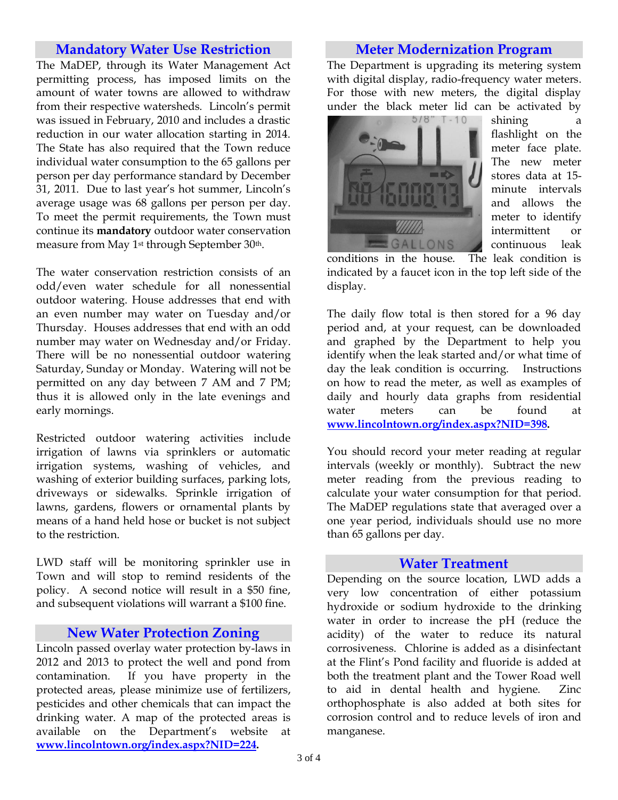#### **Mandatory Water Use Restriction**

The MaDEP, through its Water Management Act permitting process, has imposed limits on the amount of water towns are allowed to withdraw from their respective watersheds. Lincoln's permit was issued in February, 2010 and includes a drastic reduction in our water allocation starting in 2014. The State has also required that the Town reduce individual water consumption to the 65 gallons per person per day performance standard by December 31, 2011. Due to last year's hot summer, Lincoln's average usage was 68 gallons per person per day. To meet the permit requirements, the Town must continue its **mandatory** outdoor water conservation measure from May 1<sup>st</sup> through September 30<sup>th</sup>.

The water conservation restriction consists of an odd/even water schedule for all nonessential outdoor watering. House addresses that end with an even number may water on Tuesday and/or Thursday. Houses addresses that end with an odd number may water on Wednesday and/or Friday. There will be no nonessential outdoor watering Saturday, Sunday or Monday. Watering will not be permitted on any day between 7 AM and 7 PM; thus it is allowed only in the late evenings and early mornings.

Restricted outdoor watering activities include irrigation of lawns via sprinklers or automatic irrigation systems, washing of vehicles, and washing of exterior building surfaces, parking lots, driveways or sidewalks. Sprinkle irrigation of lawns, gardens, flowers or ornamental plants by means of a hand held hose or bucket is not subject to the restriction.

LWD staff will be monitoring sprinkler use in Town and will stop to remind residents of the policy. A second notice will result in a \$50 fine, and subsequent violations will warrant a \$100 fine.

## **New Water Protection Zoning**

Lincoln passed overlay water protection by-laws in 2012 and 2013 to protect the well and pond from contamination. If you have property in the protected areas, please minimize use of fertilizers, pesticides and other chemicals that can impact the drinking water. A map of the protected areas is available on the Department's website at **[www.lincolntown.org/index.aspx?NID](http://www.lincolntown.org/index.aspx?NI)=224.**

#### **Meter Modernization Program**

The Department is upgrading its metering system with digital display, radio-frequency water meters. For those with new meters, the digital display under the black meter lid can be activated by



shining a flashlight on the meter face plate. The new meter stores data at 15 minute intervals and allows the meter to identify intermittent or continuous leak

conditions in the house. The leak condition is indicated by a faucet icon in the top left side of the display.

The daily flow total is then stored for a 96 day period and, at your request, can be downloaded and graphed by the Department to help you identify when the leak started and/or what time of day the leak condition is occurring. Instructions on how to read the meter, as well as examples of daily and hourly data graphs from residential water meters can be found at **[www.lincolntown.org/index.](http://www.lincolntown.org/index)aspx?NID=398.**

You should record your meter reading at regular intervals (weekly or monthly). Subtract the new meter reading from the previous reading to calculate your water consumption for that period. The MaDEP regulations state that averaged over a one year period, individuals should use no more than 65 gallons per day.

#### **Water Treatment**

Depending on the source location, LWD adds a very low concentration of either potassium hydroxide or sodium hydroxide to the drinking water in order to increase the pH (reduce the acidity) of the water to reduce its natural corrosiveness. Chlorine is added as a disinfectant at the Flint's Pond facility and fluoride is added at both the treatment plant and the Tower Road well to aid in dental health and hygiene. Zinc orthophosphate is also added at both sites for corrosion control and to reduce levels of iron and manganese.